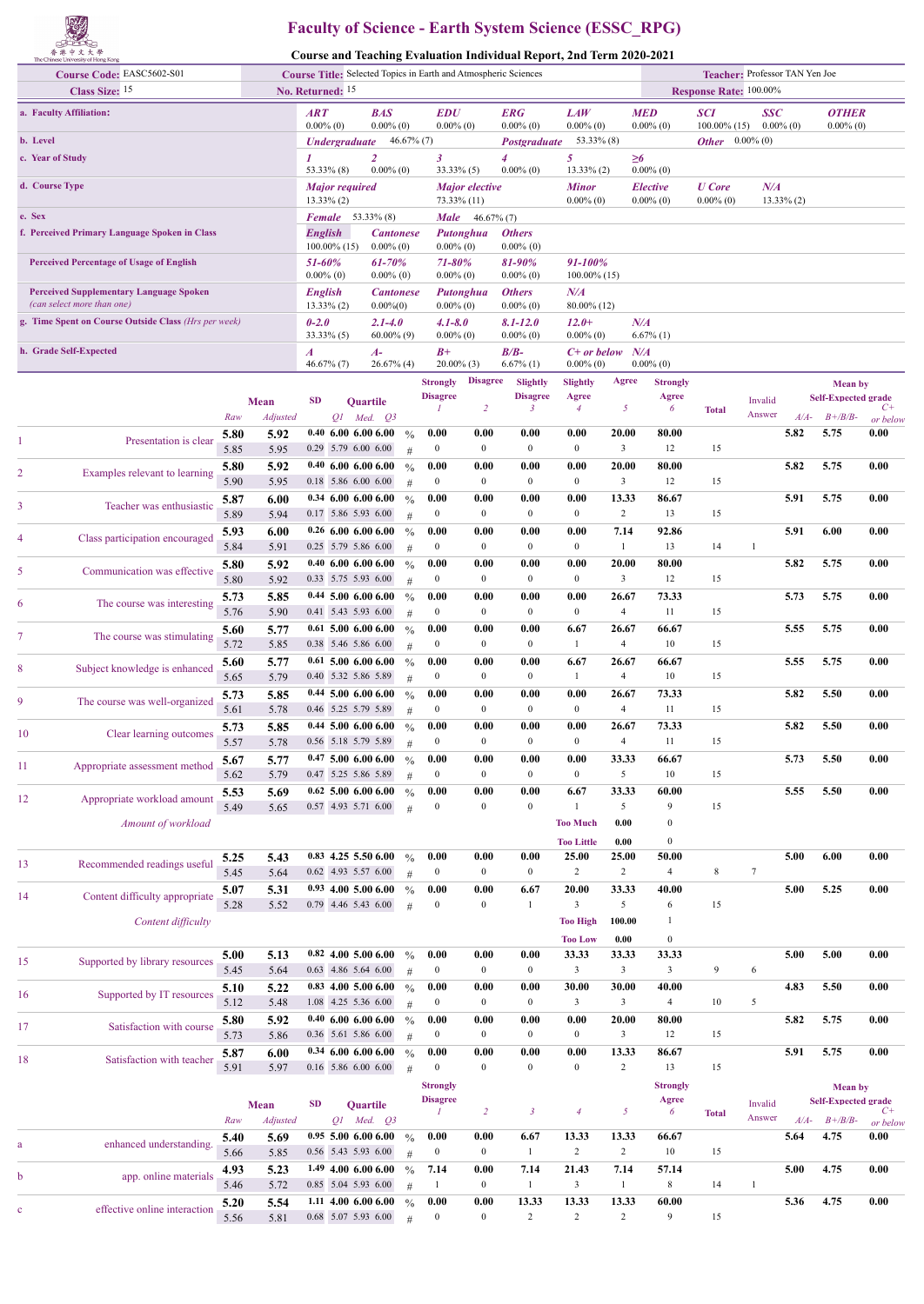

## **Faculty of Science - Earth System Science (ESSC\_RPG)**

**Course and Teaching Evaluation Individual Report, 2nd Term 2020-2021**

| Course Code: EASC5602-S01                                                    |              | <b>Course Title:</b> Selected Topics in Earth and Atmospheric Sciences |                        |                                                 |                                 |                    |                                    |                          |                               | Teacher: Professor TAN Yen Joe |                         |                                 |                               |                            |        |                                              |                  |
|------------------------------------------------------------------------------|--------------|------------------------------------------------------------------------|------------------------|-------------------------------------------------|---------------------------------|--------------------|------------------------------------|--------------------------|-------------------------------|--------------------------------|-------------------------|---------------------------------|-------------------------------|----------------------------|--------|----------------------------------------------|------------------|
| Class Size: 15                                                               |              |                                                                        |                        | No. Returned: 15                                |                                 |                    |                                    |                          |                               |                                |                         |                                 | Response Rate: 100.00%        |                            |        |                                              |                  |
| a. Faculty Affiliation:                                                      |              |                                                                        | ART<br>$0.00\%$ (0)    |                                                 | <b>BAS</b><br>$0.00\%$ (0)      |                    | <b>EDU</b><br>$0.00\%$ (0)         |                          | <b>ERG</b><br>$0.00\%$ (0)    | LAW<br>$0.00\%$ (0)            |                         | <b>MED</b><br>$0.00\%$ (0)      | <b>SCI</b><br>$100.00\%$ (15) | <b>SSC</b><br>$0.00\%$ (0) |        | <b>OTHER</b><br>$0.00\%$ (0)                 |                  |
| b. Level                                                                     |              |                                                                        |                        | <b><i>Undergraduate</i></b>                     |                                 | $46.67\%$ (7)      |                                    |                          | Postgraduate                  | $53.33\%$ (8)                  |                         |                                 | <b>Other</b> $0.00\%$ (0)     |                            |        |                                              |                  |
| c. Year of Study                                                             |              |                                                                        |                        | $53.33\%$ (8)                                   | $\overline{2}$<br>$0.00\%$ (0)  |                    | 3<br>$33.33\%$ (5)                 |                          | 4<br>$0.00\%$ (0)             | 5<br>$13.33\%$ (2)             |                         | $\geq 6$<br>$0.00\%$ (0)        |                               |                            |        |                                              |                  |
| d. Course Type                                                               |              |                                                                        |                        | <b>Major</b> required<br>$13.33\%$ (2)          |                                 |                    | 73.33% (11)                        | <b>Major</b> elective    |                               | <b>Minor</b><br>$0.00\%$ (0)   |                         | <b>Elective</b><br>$0.00\%$ (0) | <b>U</b> Core<br>$0.00\%$ (0) | N/A<br>$13.33\%$ (2)       |        |                                              |                  |
| e. Sex                                                                       |              |                                                                        | Female                 |                                                 | 53.33% (8)                      |                    | <b>Male</b>                        | $46.67\%$ (7)            |                               |                                |                         |                                 |                               |                            |        |                                              |                  |
| f. Perceived Primary Language Spoken in Class                                |              |                                                                        | <b>English</b>         |                                                 | <b>Cantonese</b>                |                    |                                    | Putonghua                | <b>Others</b>                 |                                |                         |                                 |                               |                            |        |                                              |                  |
|                                                                              |              |                                                                        |                        | $100.00\%$ (15)                                 | $0.00\%$ (0)                    |                    | $0.00\%$ (0)                       |                          | $0.00\%$ (0)                  |                                |                         |                                 |                               |                            |        |                                              |                  |
| <b>Perceived Percentage of Usage of English</b>                              |              |                                                                        | 51-60%<br>$0.00\%$ (0) |                                                 | 61-70%<br>$0.00\%$ (0)          |                    | 71-80%<br>$0.00\%$ (0)             |                          | 81-90%<br>$0.00\%$ (0)        | 91-100%<br>$100.00\%$ (15)     |                         |                                 |                               |                            |        |                                              |                  |
| <b>Perceived Supplementary Language Spoken</b><br>(can select more than one) |              |                                                                        | <b>English</b>         | $13.33\%$ (2)                                   | <b>Cantonese</b><br>$0.00\%(0)$ |                    | $0.00\%$ (0)                       | Putonghua                | <b>Others</b><br>$0.00\%$ (0) | N/A<br>80.00% (12)             |                         |                                 |                               |                            |        |                                              |                  |
| g. Time Spent on Course Outside Class (Hrs per week)                         |              |                                                                        | $0 - 2.0$              | $33.33\%$ (5)                                   | $2.1 - 4.0$<br>$60.00\%$ (9)    |                    | $4.1 - 8.0$<br>$0.00\%$ (0)        |                          | $8.1 - 12.0$<br>$0.00\%$ (0)  | $12.0+$<br>$0.00\%$ (0)        |                         | N/A<br>$6.67\%$ (1)             |                               |                            |        |                                              |                  |
| h. Grade Self-Expected                                                       |              |                                                                        | $\boldsymbol{A}$       |                                                 | A-                              |                    | $B+$                               |                          | $B/B-$                        | $C+$ or below                  |                         | N/A                             |                               |                            |        |                                              |                  |
|                                                                              |              |                                                                        |                        | $46.67\%$ (7)                                   | $26.67\%$ (4)                   |                    | 20.00% (3)                         |                          | $6.67\%$ (1)                  | $0.00\%$ (0)                   |                         | $0.00\%$ (0)                    |                               |                            |        |                                              |                  |
|                                                                              |              |                                                                        |                        |                                                 |                                 |                    | <b>Strongly</b>                    | <b>Disagree</b>          | Slightly                      | <b>Slightly</b>                | Agree                   | <b>Strongly</b>                 |                               |                            |        | <b>Mean</b> by                               |                  |
|                                                                              |              | Mean                                                                   | <b>SD</b>              |                                                 | Quartile                        |                    | <b>Disagree</b>                    | 2                        | <b>Disagree</b><br>3          | Agree<br>4                     | 5                       | Agree<br>6                      | <b>Total</b>                  | Invalid                    |        | <b>Self-Expected grade</b>                   | C+               |
|                                                                              | Raw          | <b>Adjusted</b>                                                        |                        | QI                                              | $Med.$ $O3$                     |                    |                                    |                          |                               |                                |                         |                                 |                               | Answer                     | $A/A-$ | $B + \frac{B}{B}$                            | or below         |
| Presentation is clear<br>1                                                   | 5.80<br>5.85 | 5.92<br>5.95                                                           |                        | 0.40, 6.00, 6.00, 6.00<br>0.29 5.79 6.00 6.00   |                                 | $\frac{0}{0}$<br># | 0.00<br>$\boldsymbol{0}$           | 0.00<br>$\mathbf{0}$     | 0.00<br>$\bf{0}$              | 0.00<br>$\boldsymbol{0}$       | 20.00<br>$\mathbf{3}$   | 80.00<br>12                     | 15                            |                            | 5.82   | 5.75                                         | 0.00             |
| Examples relevant to learning<br>2                                           | 5.80         | 5.92                                                                   |                        | $0.40\ 6.00\ 6.00\ 6.00$                        |                                 | $\frac{0}{0}$      | 0.00                               | 0.00                     | 0.00                          | 0.00                           | 20.00                   | 80.00                           |                               |                            | 5.82   | 5.75                                         | 0.00             |
|                                                                              | 5.90<br>5.87 | 5.95<br>6.00                                                           |                        | 0.18 5.86 6.00 6.00<br>$0.34$ 6.00 6.00 6.00    |                                 | #<br>$\frac{0}{0}$ | $\bf{0}$<br>0.00                   | $\overline{0}$<br>0.00   | $\mathbf{0}$<br>0.00          | $\mathbf{0}$<br>0.00           | $\mathbf{3}$<br>13.33   | 12<br>86.67                     | 15                            |                            | 5.91   | 5.75                                         | 0.00             |
| 3<br>Teacher was enthusiastic                                                | 5.89         | 5.94                                                                   |                        | 0.17 5.86 5.93 6.00                             |                                 | #                  | $\boldsymbol{0}$                   | $\overline{0}$           | $\bf{0}$                      | $\boldsymbol{0}$               | $\overline{2}$          | 13                              | 15                            |                            |        |                                              |                  |
| Class participation encouraged<br>4                                          | 5.93         | 6.00                                                                   |                        | $0.26$ 6.00 6.00 6.00                           |                                 | $\frac{0}{0}$      | 0.00                               | 0.00                     | 0.00                          | 0.00                           | 7.14                    | 92.86                           |                               |                            | 5.91   | 6.00                                         | 0.00             |
|                                                                              | 5.84         | 5.91                                                                   |                        | 0.25 5.79 5.86 6.00                             |                                 | #                  | $\bf{0}$                           | $\boldsymbol{0}$         | $\mathbf{0}$                  | $\boldsymbol{0}$               | $\mathbf{1}$            | 13                              | 14                            | -1                         |        |                                              |                  |
| 5<br>Communication was effective                                             | 5.80<br>5.80 | 5.92<br>5.92                                                           |                        | 0.40, 6.00, 6.00, 6.00<br>0.33 5.75 5.93 6.00   |                                 | $\frac{0}{0}$<br># | 0.00<br>$\boldsymbol{0}$           | 0.00<br>$\overline{0}$   | 0.00<br>$\bf{0}$              | 0.00<br>$\boldsymbol{0}$       | 20.00<br>$\mathbf{3}$   | 80.00<br>12                     | 15                            |                            | 5.82   | 5.75                                         | 0.00             |
| The course was interesting                                                   | 5.73         | 5.85                                                                   |                        | $0.44$ 5.00 6.00 6.00                           |                                 | $\frac{0}{0}$      | 0.00                               | 0.00                     | 0.00                          | 0.00                           | 26.67                   | 73.33                           |                               |                            | 5.73   | 5.75                                         | 0.00             |
| 6                                                                            | 5.76         | 5.90                                                                   |                        | 0.41 5.43 5.93 6.00                             |                                 | #                  | $\bf{0}$                           | $\overline{0}$           | $\mathbf{0}$                  | $\boldsymbol{0}$               | $\overline{4}$          | 11                              | 15                            |                            |        |                                              |                  |
| 7<br>The course was stimulating                                              | 5.60<br>5.72 | 5.77<br>5.85                                                           |                        | $0.61$ 5.00 6.00 6.00<br>0.38 5.46 5.86 6.00    |                                 | $\frac{0}{0}$<br># | 0.00<br>$\boldsymbol{0}$           | 0.00<br>$\overline{0}$   | 0.00<br>$\bf{0}$              | 6.67<br>1                      | 26.67<br>$\overline{4}$ | 66.67<br>10                     | 15                            |                            | 5.55   | 5.75                                         | 0.00             |
| Subject knowledge is enhanced<br>8                                           | 5.60         | 5.77                                                                   |                        | $0.61$ 5.00 6.00 6.00                           |                                 | $\frac{0}{0}$      | 0.00                               | 0.00                     | 0.00                          | 6.67                           | 26.67                   | 66.67                           |                               |                            | 5.55   | 5.75                                         | 0.00             |
|                                                                              | 5.65         | 5.79                                                                   |                        | 0.40 5.32 5.86 5.89                             |                                 | #                  | $\bf{0}$                           | $\overline{0}$           | $\mathbf{0}$                  | $\mathbf{1}$                   | $\overline{4}$          | 10                              | 15                            |                            |        |                                              |                  |
| 9<br>The course was well-organized                                           | 5.73<br>5.61 | 5.85<br>5.78                                                           |                        | $0.44$ 5.00 6.00 6.00<br>0.46 5.25 5.79 5.89    |                                 | $\frac{0}{0}$<br># | 0.00<br>$\boldsymbol{0}$           | 0.00<br>$\mathbf{0}$     | 0.00<br>$\bf{0}$              | 0.00<br>$\boldsymbol{0}$       | 26.67<br>$\overline{4}$ | 73.33<br>11                     | 15                            |                            | 5.82   | 5.50                                         | 0.00             |
|                                                                              | 5.73         | 5.85                                                                   |                        | $0.44$ 5.00 6.00 6.00                           |                                 | $\frac{0}{0}$      | 0.00                               | 0.00                     | 0.00                          | 0.00                           | 26.67                   | 73.33                           |                               |                            | 5.82   | 5.50                                         | 0.00             |
| 10<br>Clear learning outcomes                                                | 5.57         | 5.78                                                                   |                        | 0.56 5.18 5.79 5.89                             |                                 | #                  | $\mathbf{0}$                       | $\overline{0}$           | $\mathbf{0}$                  | $\boldsymbol{0}$               | $\overline{4}$          | 11                              | 15                            |                            |        |                                              |                  |
| 11<br>Appropriate assessment method                                          | 5.67         | 5.77                                                                   |                        | 0.47500600600<br>0.47 5.25 5.86 5.89            |                                 | $\%$               | 0.00<br>$\bf{0}$                   | 0.00<br>$\boldsymbol{0}$ | 0.00<br>$\boldsymbol{0}$      | 0.00<br>$\boldsymbol{0}$       | 33.33<br>5              | 66.67<br>10                     | 15                            |                            | 5.73   | 5.50                                         | 0.00             |
|                                                                              | 5.62<br>5.53 | 5.79<br>5.69                                                           |                        | $0.62$ 5.00 6.00 6.00                           |                                 | #<br>$\frac{0}{0}$ | 0.00                               | 0.00                     | 0.00                          | 6.67                           | 33.33                   | 60.00                           |                               |                            | 5.55   | 5.50                                         | 0.00             |
| Appropriate workload amount<br>12                                            | 5.49         | 5.65                                                                   |                        | 0.57 4.93 5.71 6.00                             |                                 | #                  | $\bf{0}$                           | $\mathbf{0}$             | $\mathbf{0}$                  | 1                              | 5                       | 9                               | 15                            |                            |        |                                              |                  |
| Amount of workload                                                           |              |                                                                        |                        |                                                 |                                 |                    |                                    |                          |                               | <b>Too Much</b>                | 0.00                    | $\boldsymbol{0}$                |                               |                            |        |                                              |                  |
|                                                                              |              |                                                                        |                        | $0.83$ 4.25 5.50 6.00                           |                                 |                    |                                    |                          |                               | <b>Too Little</b>              | 0.00                    | $\bf{0}$                        |                               |                            |        |                                              |                  |
| Recommended readings useful<br>13                                            | 5.25<br>5.45 | 5.43<br>5.64                                                           |                        | 0.62 4.93 5.57 6.00                             |                                 | $\frac{0}{0}$<br># | 0.00<br>$\bf{0}$                   | 0.00<br>$\bf{0}$         | 0.00<br>$\bf{0}$              | 25.00<br>$\overline{c}$        | 25.00<br>$\overline{2}$ | 50.00<br>$\overline{4}$         | 8                             | $\tau$                     | 5.00   | 6.00                                         | 0.00             |
|                                                                              | 5.07         | 5.31                                                                   |                        | $0.93$ 4.00 5.00 6.00                           |                                 | $\frac{0}{0}$      | 0.00                               | 0.00                     | 6.67                          | 20.00                          | 33.33                   | 40.00                           |                               |                            | 5.00   | 5.25                                         | 0.00             |
| Content difficulty appropriate<br>14                                         | 5.28         | 5.52                                                                   |                        | 0.79 4.46 5.43 6.00                             |                                 | #                  | $\mathbf{0}$                       | $\boldsymbol{0}$         | $\mathbf{1}$                  | $\mathfrak{Z}$                 | 5                       | 6                               | 15                            |                            |        |                                              |                  |
| Content difficulty                                                           |              |                                                                        |                        |                                                 |                                 |                    |                                    |                          |                               | <b>Too High</b>                | 100.00                  | -1                              |                               |                            |        |                                              |                  |
|                                                                              | 5.00         | 5.13                                                                   |                        | $0.82$ 4.00 5.00 6.00                           |                                 | $\frac{0}{0}$      | 0.00                               | 0.00                     | 0.00                          | <b>Too Low</b><br>33.33        | 0.00<br>33.33           | $\bf{0}$<br>33.33               |                               |                            | 5.00   | 5.00                                         | 0.00             |
| Supported by library resources<br>15                                         | 5.45         | 5.64                                                                   |                        | 0.63 4.86 5.64 6.00                             |                                 | #                  | $\bf{0}$                           | $\bf{0}$                 | $\bf{0}$                      | $\mathfrak{Z}$                 | $\mathbf{3}$            | $\mathbf{3}$                    | 9                             | 6                          |        |                                              |                  |
| Supported by IT resources<br>16                                              | 5.10         | 5.22                                                                   |                        | $0.83$ 4.00 5.00 6.00                           |                                 | $\frac{0}{0}$      | 0.00                               | 0.00                     | 0.00                          | 30.00                          | 30.00                   | 40.00                           |                               |                            | 4.83   | 5.50                                         | 0.00             |
|                                                                              | 5.12         | 5.48                                                                   |                        | 1.08 4.25 5.36 6.00<br>$0.40\ 6.00\ 6.00\ 6.00$ |                                 | #<br>$\frac{0}{0}$ | $\boldsymbol{0}$<br>0.00           | $\bf{0}$<br>0.00         | $\bf{0}$<br>0.00              | $\mathfrak{Z}$<br>0.00         | $\mathbf{3}$<br>20.00   | $\overline{4}$<br>80.00         | 10                            | 5                          | 5.82   | 5.75                                         | 0.00             |
| Satisfaction with course<br>17                                               | 5.80<br>5.73 | 5.92<br>5.86                                                           |                        | 0.36 5.61 5.86 6.00                             |                                 | #                  | $\boldsymbol{0}$                   | $\bf{0}$                 | $\bf{0}$                      | $\boldsymbol{0}$               | $\mathbf{3}$            | 12                              | 15                            |                            |        |                                              |                  |
| Satisfaction with teacher<br>18                                              | 5.87         | 6.00                                                                   |                        | $0.34$ 6.00 6.00 6.00                           |                                 | $\frac{0}{0}$      | 0.00                               | 0.00                     | 0.00                          | 0.00                           | 13.33                   | 86.67                           |                               |                            | 5.91   | 5.75                                         | 0.00             |
|                                                                              | 5.91         | 5.97                                                                   |                        | 0.16 5.86 6.00 6.00                             |                                 | #                  | $\boldsymbol{0}$                   | $\mathbf{0}$             | $\mathbf{0}$                  | $\boldsymbol{0}$               | $\overline{c}$          | 13                              | 15                            |                            |        |                                              |                  |
|                                                                              |              |                                                                        |                        |                                                 |                                 |                    | <b>Strongly</b><br><b>Disagree</b> |                          |                               |                                |                         | <b>Strongly</b><br>Agree        |                               |                            |        | <b>Mean</b> by<br><b>Self-Expected grade</b> |                  |
|                                                                              |              | <b>Mean</b>                                                            | <b>SD</b>              |                                                 | Quartile                        |                    | $\mathcal{I}$                      | $\overline{2}$           | $\boldsymbol{\beta}$          | $\overline{4}$                 | $\sqrt{2}$              | 6                               | <b>Total</b>                  | Invalid<br>Answer          | $A/A-$ | $B + /B/B$ -                                 | $C+$             |
|                                                                              | Raw<br>5.40  | Adjusted<br>5.69                                                       |                        | $0.95$ 5.00 6.00 6.00                           | $Q1$ Med. $Q3$                  | $\frac{0}{0}$      | 0.00                               | 0.00                     | 6.67                          | 13.33                          | 13.33                   | 66.67                           |                               |                            | 5.64   | 4.75                                         | or below<br>0.00 |
| enhanced understanding.                                                      | 5.66         | 5.85                                                                   |                        | 0.56 5.43 5.93 6.00                             |                                 | #                  | $\boldsymbol{0}$                   | $\bf{0}$                 | 1                             | $\overline{c}$                 | $\overline{2}$          | 10                              | 15                            |                            |        |                                              |                  |
| app. online materials<br>b                                                   | 4.93         | 5.23                                                                   |                        | $1.49$ 4.00 6.00 6.00                           |                                 | $\frac{0}{0}$      | 7.14                               | 0.00                     | 7.14                          | 21.43                          | 7.14                    | 57.14                           |                               |                            | 5.00   | 4.75                                         | 0.00             |
|                                                                              | 5.46         | 5.72                                                                   |                        | 0.85 5.04 5.93 6.00                             |                                 | #                  | -1                                 | $\bf{0}$                 | 1                             | $\mathfrak{Z}$                 | $\mathbf{1}$            | 8                               | 14                            | $\mathbf{1}$               |        |                                              |                  |
| effective online interaction                                                 | 5.20<br>5.56 | 5.54<br>5.81                                                           |                        | $1.11$ 4.00 6.00 6.00<br>0.68 5.07 5.93 6.00    |                                 | $\frac{0}{0}$<br># | 0.00<br>$\bf{0}$                   | 0.00<br>$\mathbf{0}$     | 13.33<br>$\overline{2}$       | 13.33<br>$\overline{c}$        | 13.33<br>$\overline{2}$ | 60.00<br>9                      | 15                            |                            | 5.36   | 4.75                                         | 0.00             |
|                                                                              |              |                                                                        |                        |                                                 |                                 |                    |                                    |                          |                               |                                |                         |                                 |                               |                            |        |                                              |                  |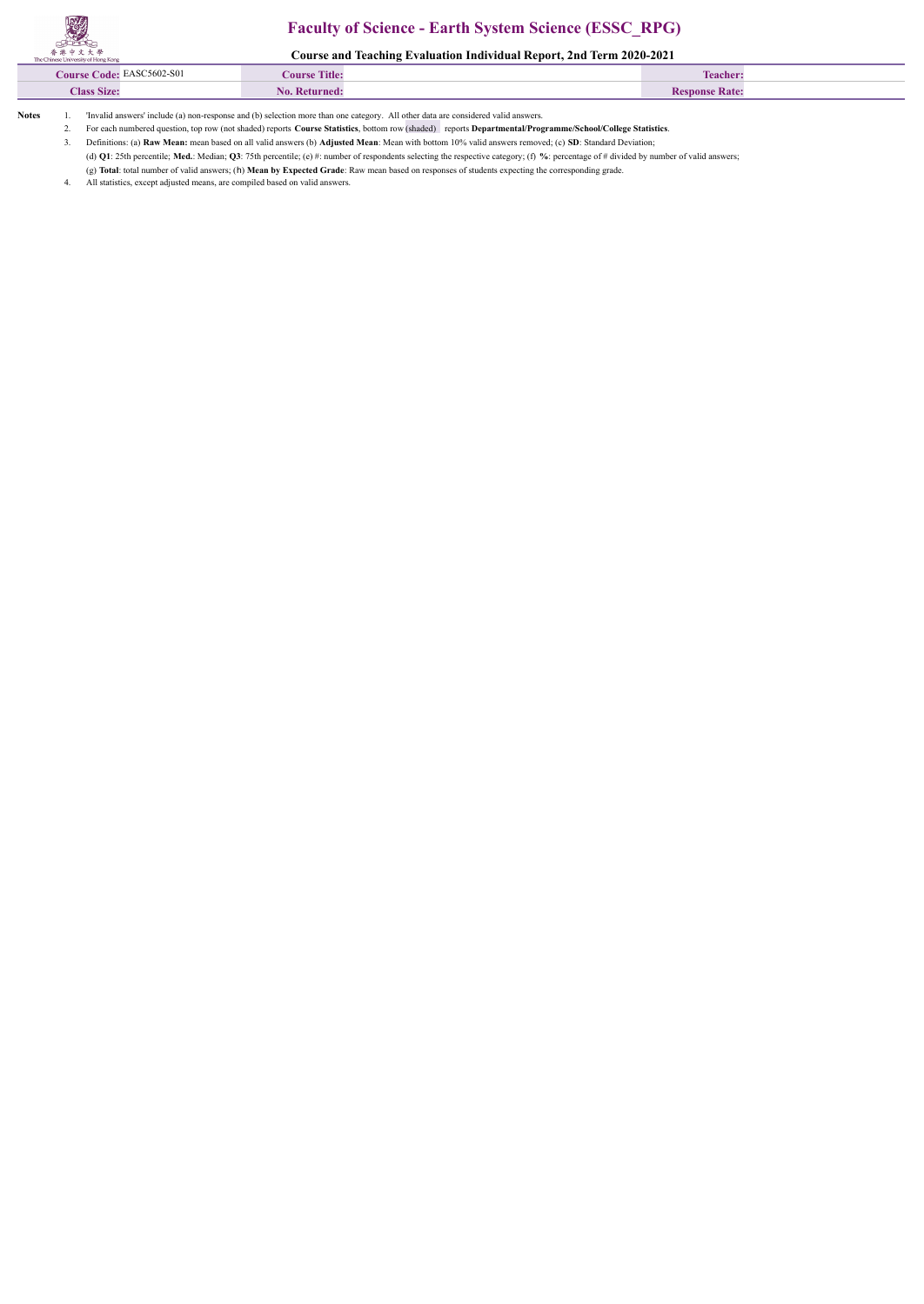## **Faculty of Science - Earth System Science (ESSC\_RPG)**

**Course and Teaching Evaluation Individual Report, 2nd Term 2020-2021**

| THE CHINESE OTHERS OF LIVING AND N |                      |                       |  |
|------------------------------------|----------------------|-----------------------|--|
| Course Code: EASC5602-S01          | <b>Course Title:</b> | Teacher.              |  |
| <b>Class Size:</b>                 | No. Returned         | <b>Pesponse Rate:</b> |  |
|                                    |                      |                       |  |

**Notes** 1. 'Invalid answers' include (a) non-response and (b) selection more than one category. All other data are considered valid answers.

2. For each numbered question, top row (not shaded) reports **Course Statistics**, bottom row (shaded) reports **Departmental/Programme/School/College Statistics**.

3. Definitions: (a) **Raw Mean:** mean based on all valid answers (b) **Adjusted Mean**: Mean with bottom 10% valid answers removed; (c) **SD**: Standard Deviation;

(d) **Q1**: 25th percentile; **Med.**: Median; **Q3**: 75th percentile; (e) #: number of respondents selecting the respective category; (f) **%**: percentage of # divided by number of valid answers;

(g) **Total**: total number of valid answers; (h) **Mean by Expected Grade**: Raw mean based on responses of students expecting the corresponding grade.

All statistics, except adjusted means, are compiled based on valid answers.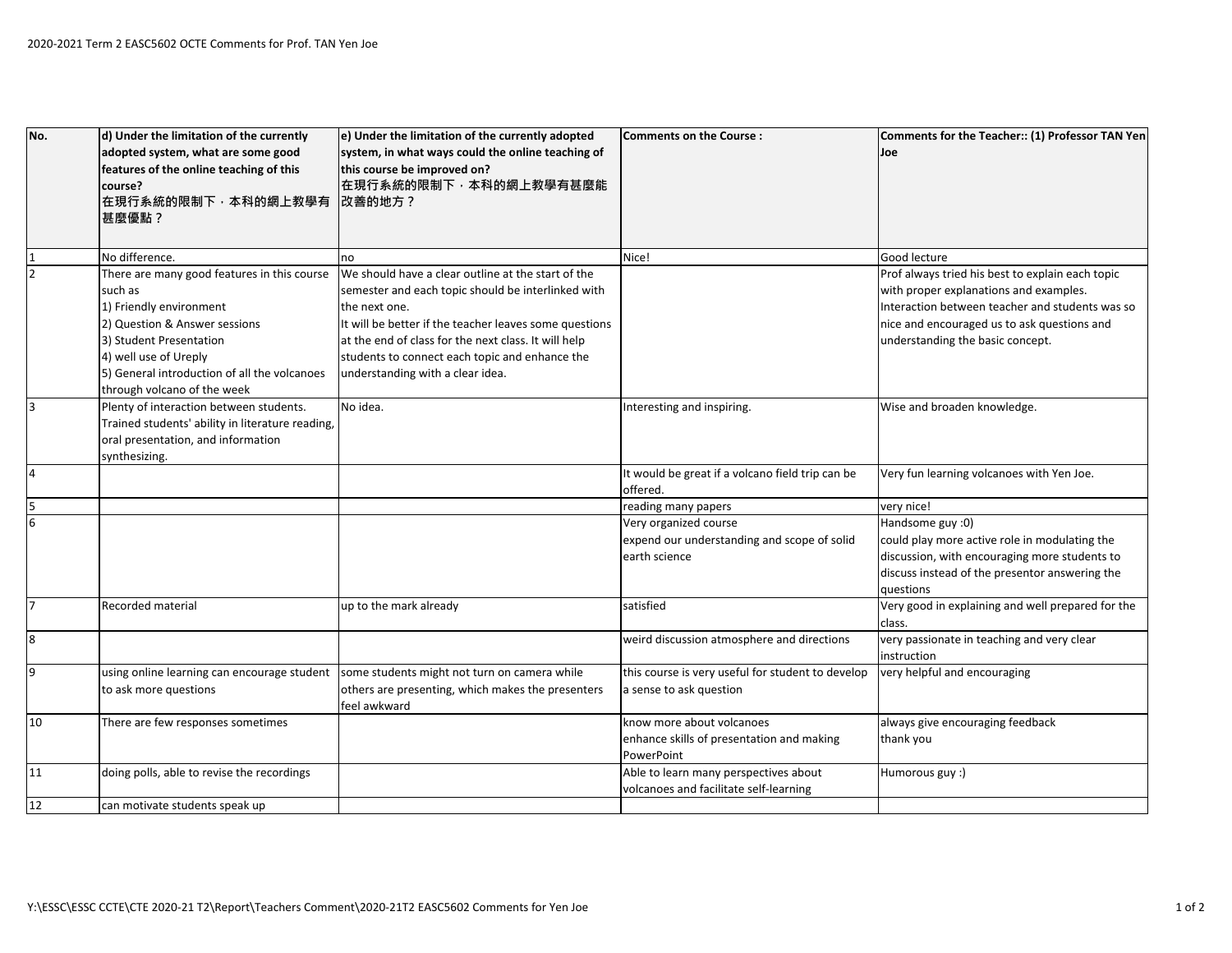| No.            | d) Under the limitation of the currently<br>adopted system, what are some good | e) Under the limitation of the currently adopted<br>system, in what ways could the online teaching of | <b>Comments on the Course:</b>                                                  | Comments for the Teacher:: (1) Professor TAN Yen<br>Joe |
|----------------|--------------------------------------------------------------------------------|-------------------------------------------------------------------------------------------------------|---------------------------------------------------------------------------------|---------------------------------------------------------|
|                | features of the online teaching of this                                        | this course be improved on?                                                                           |                                                                                 |                                                         |
|                | course?                                                                        | 在現行系統的限制下,本科的網上教學有甚麼能                                                                                 |                                                                                 |                                                         |
|                | 在現行系統的限制下,本科的網上教學有                                                             | 改善的地方?                                                                                                |                                                                                 |                                                         |
|                | 甚麼優點?                                                                          |                                                                                                       |                                                                                 |                                                         |
|                |                                                                                |                                                                                                       |                                                                                 |                                                         |
|                | No difference.                                                                 | no                                                                                                    | Nice!                                                                           | Good lecture                                            |
|                | There are many good features in this course                                    | We should have a clear outline at the start of the                                                    |                                                                                 | Prof always tried his best to explain each topic        |
|                | such as                                                                        | semester and each topic should be interlinked with                                                    |                                                                                 | with proper explanations and examples.                  |
|                | 1) Friendly environment                                                        | the next one.                                                                                         |                                                                                 | Interaction between teacher and students was so         |
|                | 2) Question & Answer sessions                                                  | It will be better if the teacher leaves some questions                                                |                                                                                 | nice and encouraged us to ask questions and             |
|                | 3) Student Presentation                                                        | at the end of class for the next class. It will help                                                  |                                                                                 | understanding the basic concept.                        |
|                | 4) well use of Ureply                                                          | students to connect each topic and enhance the                                                        |                                                                                 |                                                         |
|                | 5) General introduction of all the volcanoes                                   | understanding with a clear idea.                                                                      |                                                                                 |                                                         |
|                | through volcano of the week                                                    |                                                                                                       |                                                                                 |                                                         |
|                | Plenty of interaction between students.                                        | No idea.                                                                                              | Interesting and inspiring.                                                      | Wise and broaden knowledge.                             |
|                | Trained students' ability in literature reading,                               |                                                                                                       |                                                                                 |                                                         |
|                | oral presentation, and information                                             |                                                                                                       |                                                                                 |                                                         |
|                | synthesizing.                                                                  |                                                                                                       |                                                                                 |                                                         |
| $\overline{4}$ |                                                                                |                                                                                                       | It would be great if a volcano field trip can be                                | Very fun learning volcanoes with Yen Joe.               |
|                |                                                                                |                                                                                                       | offered.                                                                        |                                                         |
|                |                                                                                |                                                                                                       | reading many papers                                                             | very nice!                                              |
| 6              |                                                                                |                                                                                                       | Very organized course                                                           | Handsome guy :0)                                        |
|                |                                                                                |                                                                                                       | expend our understanding and scope of solid                                     | could play more active role in modulating the           |
|                |                                                                                |                                                                                                       | earth science                                                                   | discussion, with encouraging more students to           |
|                |                                                                                |                                                                                                       |                                                                                 | discuss instead of the presentor answering the          |
|                |                                                                                |                                                                                                       |                                                                                 | <b>auestions</b>                                        |
| $\overline{7}$ | Recorded material                                                              | up to the mark already                                                                                | satisfied                                                                       | Very good in explaining and well prepared for the       |
|                |                                                                                |                                                                                                       |                                                                                 | class.                                                  |
| $\bf 8$        |                                                                                |                                                                                                       | weird discussion atmosphere and directions                                      | very passionate in teaching and very clear              |
|                |                                                                                |                                                                                                       |                                                                                 | instruction                                             |
| 9              | using online learning can encourage student                                    | some students might not turn on camera while                                                          | this course is very useful for student to develop                               | very helpful and encouraging                            |
|                | to ask more questions                                                          | others are presenting, which makes the presenters                                                     | a sense to ask question                                                         |                                                         |
| 10             | There are few responses sometimes                                              | feel awkward                                                                                          | know more about volcanoes                                                       | always give encouraging feedback                        |
|                |                                                                                |                                                                                                       |                                                                                 | thank you                                               |
|                |                                                                                |                                                                                                       | enhance skills of presentation and making<br>PowerPoint                         |                                                         |
| 11             |                                                                                |                                                                                                       |                                                                                 |                                                         |
|                | doing polls, able to revise the recordings                                     |                                                                                                       | Able to learn many perspectives about<br>volcanoes and facilitate self-learning | Humorous guy :)                                         |
| $12$           | can motivate students speak up                                                 |                                                                                                       |                                                                                 |                                                         |
|                |                                                                                |                                                                                                       |                                                                                 |                                                         |